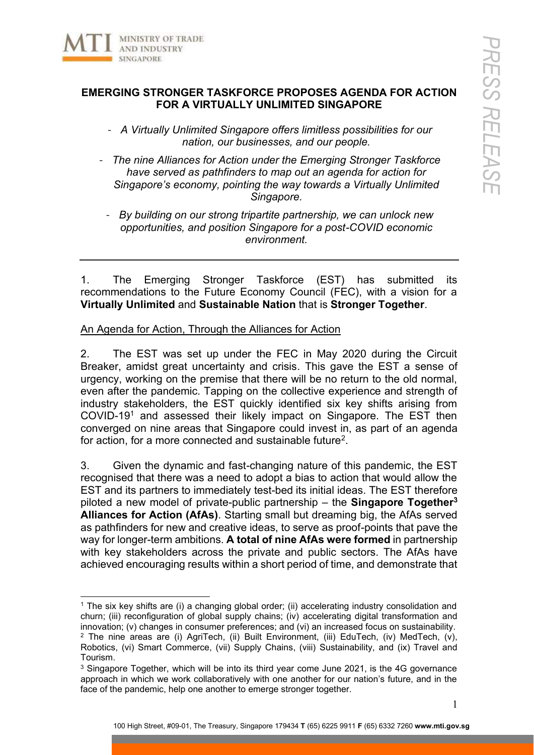

## **EMERGING STRONGER TASKFORCE PROPOSES AGENDA FOR ACTION FOR A VIRTUALLY UNLIMITED SINGAPORE**

- *A Virtually Unlimited Singapore offers limitless possibilities for our nation, our businesses, and our people.*
- *The nine Alliances for Action under the Emerging Stronger Taskforce have served as pathfinders to map out an agenda for action for Singapore's economy, pointing the way towards a Virtually Unlimited Singapore.*
	- *By building on our strong tripartite partnership, we can unlock new opportunities, and position Singapore for a post-COVID economic environment.*

1. The Emerging Stronger Taskforce (EST) has submitted its recommendations to the Future Economy Council (FEC), with a vision for a **Virtually Unlimited** and **Sustainable Nation** that is **Stronger Together**.

## An Agenda for Action, Through the Alliances for Action

2. The EST was set up under the FEC in May 2020 during the Circuit Breaker, amidst great uncertainty and crisis. This gave the EST a sense of urgency, working on the premise that there will be no return to the old normal, even after the pandemic. Tapping on the collective experience and strength of industry stakeholders, the EST quickly identified six key shifts arising from COVID-191 and assessed their likely impact on Singapore. The EST then converged on nine areas that Singapore could invest in, as part of an agenda for action, for a more connected and sustainable future2.

3. Given the dynamic and fast-changing nature of this pandemic, the EST recognised that there was a need to adopt a bias to action that would allow the EST and its partners to immediately test-bed its initial ideas. The EST therefore piloted a new model of private-public partnership – the **Singapore Together3 Alliances for Action (AfAs)**. Starting small but dreaming big, the AfAs served as pathfinders for new and creative ideas, to serve as proof-points that pave the way for longer-term ambitions. **A total of nine AfAs were formed** in partnership with key stakeholders across the private and public sectors. The AfAs have achieved encouraging results within a short period of time, and demonstrate that

<sup>1</sup> The six key shifts are (i) a changing global order; (ii) accelerating industry consolidation and churn; (iii) reconfiguration of global supply chains; (iv) accelerating digital transformation and innovation; (v) changes in consumer preferences; and (vi) an increased focus on sustainability.<br><sup>2</sup> The nine areas are (i) AgriTech, (ii) Built Environment, (iii) EduTech, (iv) MedTech, (v), Robotics, (vi) Smart Commerce, (vii) Supply Chains, (viii) Sustainability, and (ix) Travel and Tourism.

<sup>&</sup>lt;sup>3</sup> Singapore Together, which will be into its third year come June 2021, is the 4G governance approach in which we work collaboratively with one another for our nation's future, and in the face of the pandemic, help one another to emerge stronger together.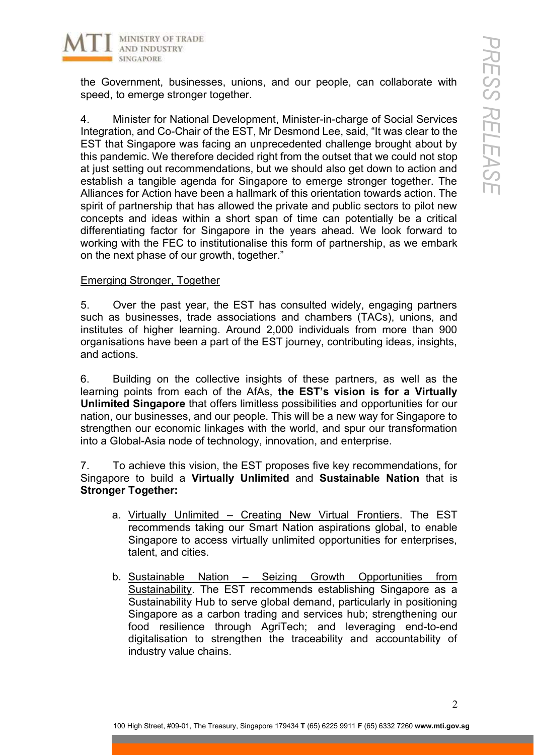

the Government, businesses, unions, and our people, can collaborate with speed, to emerge stronger together.

4. Minister for National Development, Minister-in-charge of Social Services Integration, and Co-Chair of the EST, Mr Desmond Lee, said, "It was clear to the EST that Singapore was facing an unprecedented challenge brought about by this pandemic. We therefore decided right from the outset that we could not stop at just setting out recommendations, but we should also get down to action and establish a tangible agenda for Singapore to emerge stronger together. The Alliances for Action have been a hallmark of this orientation towards action. The spirit of partnership that has allowed the private and public sectors to pilot new concepts and ideas within a short span of time can potentially be a critical differentiating factor for Singapore in the years ahead. We look forward to working with the FEC to institutionalise this form of partnership, as we embark on the next phase of our growth, together."

## Emerging Stronger, Together

5. Over the past year, the EST has consulted widely, engaging partners such as businesses, trade associations and chambers (TACs), unions, and institutes of higher learning. Around 2,000 individuals from more than 900 organisations have been a part of the EST journey, contributing ideas, insights, and actions.

6. Building on the collective insights of these partners, as well as the learning points from each of the AfAs, **the EST's vision is for a Virtually Unlimited Singapore** that offers limitless possibilities and opportunities for our nation, our businesses, and our people. This will be a new way for Singapore to strengthen our economic linkages with the world, and spur our transformation into a Global-Asia node of technology, innovation, and enterprise.

7. To achieve this vision, the EST proposes five key recommendations, for Singapore to build a **Virtually Unlimited** and **Sustainable Nation** that is **Stronger Together:**

- a. Virtually Unlimited Creating New Virtual Frontiers. The EST recommends taking our Smart Nation aspirations global, to enable Singapore to access virtually unlimited opportunities for enterprises, talent, and cities.
- b. Sustainable Nation Seizing Growth Opportunities from Sustainability. The EST recommends establishing Singapore as a Sustainability Hub to serve global demand, particularly in positioning Singapore as a carbon trading and services hub; strengthening our food resilience through AgriTech; and leveraging end-to-end digitalisation to strengthen the traceability and accountability of industry value chains.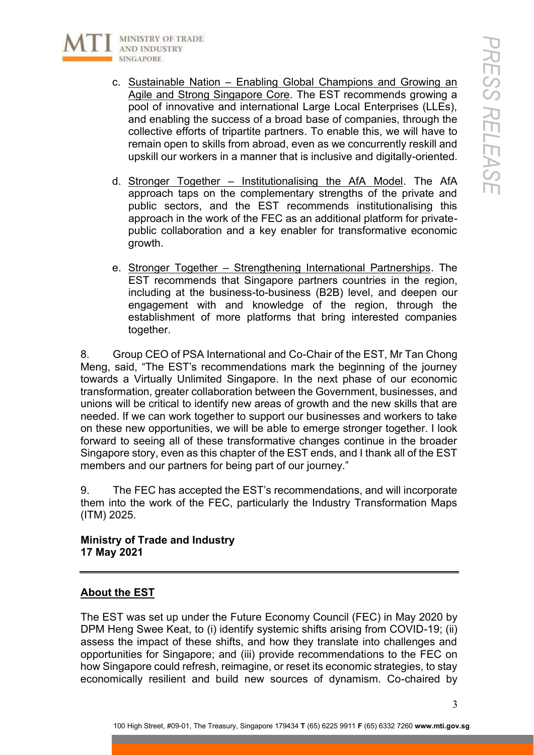

- c. Sustainable Nation Enabling Global Champions and Growing an Agile and Strong Singapore Core. The EST recommends growing a pool of innovative and international Large Local Enterprises (LLEs), and enabling the success of a broad base of companies, through the collective efforts of tripartite partners. To enable this, we will have to remain open to skills from abroad, even as we concurrently reskill and upskill our workers in a manner that is inclusive and digitally-oriented.
- d. Stronger Together Institutionalising the AfA Model. The AfA approach taps on the complementary strengths of the private and public sectors, and the EST recommends institutionalising this approach in the work of the FEC as an additional platform for privatepublic collaboration and a key enabler for transformative economic growth.
- e. Stronger Together Strengthening International Partnerships. The EST recommends that Singapore partners countries in the region, including at the business-to-business (B2B) level, and deepen our engagement with and knowledge of the region, through the establishment of more platforms that bring interested companies together.

8. Group CEO of PSA International and Co-Chair of the EST, Mr Tan Chong Meng, said, "The EST's recommendations mark the beginning of the journey towards a Virtually Unlimited Singapore. In the next phase of our economic transformation, greater collaboration between the Government, businesses, and unions will be critical to identify new areas of growth and the new skills that are needed. If we can work together to support our businesses and workers to take on these new opportunities, we will be able to emerge stronger together. I look forward to seeing all of these transformative changes continue in the broader Singapore story, even as this chapter of the EST ends, and I thank all of the EST members and our partners for being part of our journey."

9. The FEC has accepted the EST's recommendations, and will incorporate them into the work of the FEC, particularly the Industry Transformation Maps (ITM) 2025.

**Ministry of Trade and Industry 17 May 2021**

## **About the EST**

The EST was set up under the Future Economy Council (FEC) in May 2020 by DPM Heng Swee Keat, to (i) identify systemic shifts arising from COVID-19; (ii) assess the impact of these shifts, and how they translate into challenges and opportunities for Singapore; and (iii) provide recommendations to the FEC on how Singapore could refresh, reimagine, or reset its economic strategies, to stay economically resilient and build new sources of dynamism. Co-chaired by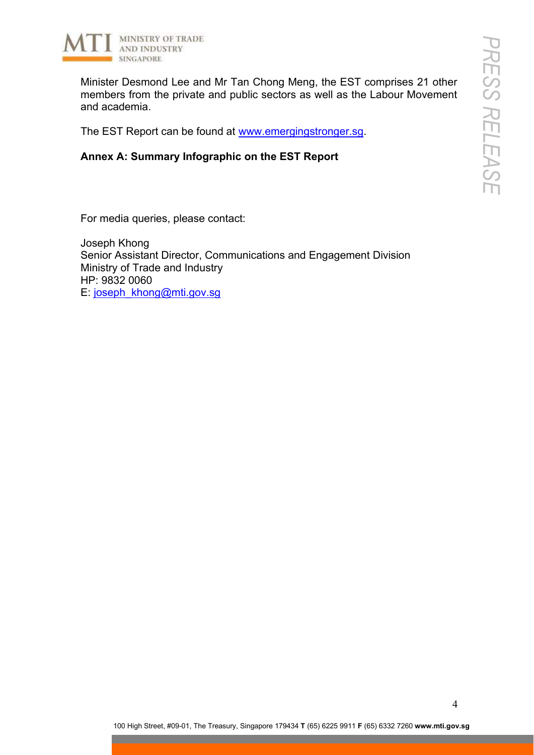

Minister Desmond Lee and Mr Tan Chong Meng, the EST comprises 21 other members from the private and public sectors as well as the Labour Movement and academia.

The EST Report can be found at www.emergingstronger.sg.

**Annex A: Summary Infographic on the EST Report**

For media queries, please contact:

Joseph Khong Senior Assistant Director, Communications and Engagement Division Ministry of Trade and Industry HP: 9832 0060 E: joseph\_khong@mti.gov.sg